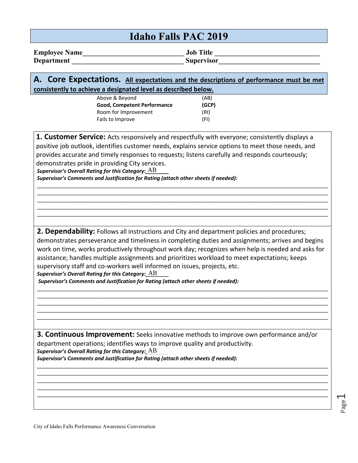| <b>Idaho Falls PAC 2019</b> |                                                                                                                                                                                                                                                                                                                                                                                                                                                                                                                                                                                                                                             |                               |           |  |
|-----------------------------|---------------------------------------------------------------------------------------------------------------------------------------------------------------------------------------------------------------------------------------------------------------------------------------------------------------------------------------------------------------------------------------------------------------------------------------------------------------------------------------------------------------------------------------------------------------------------------------------------------------------------------------------|-------------------------------|-----------|--|
|                             | <b>Department</b>                                                                                                                                                                                                                                                                                                                                                                                                                                                                                                                                                                                                                           | <b>Supervisor</b>             | Job Title |  |
|                             | A. Core Expectations. All expectations and the descriptions of performance must be met<br>consistently to achieve a designated level as described below.                                                                                                                                                                                                                                                                                                                                                                                                                                                                                    |                               |           |  |
|                             | Above & Beyond<br>Good, Competent Performance<br>Room for Improvement<br>Fails to Improve                                                                                                                                                                                                                                                                                                                                                                                                                                                                                                                                                   | (AB)<br>(GCP)<br>(RI)<br>(FI) |           |  |
|                             | 1. Customer Service: Acts responsively and respectfully with everyone; consistently displays a<br>positive job outlook, identifies customer needs, explains service options to meet those needs, and<br>provides accurate and timely responses to requests; listens carefully and responds courteously;<br>demonstrates pride in providing City services.<br>Supervisor's Overall Rating for this Category: $AB$<br>Supervisor's Comments and Justification for Rating (attach other sheets if needed):                                                                                                                                     |                               |           |  |
|                             | 2. Dependability: Follows all instructions and City and department policies and procedures;<br>demonstrates perseverance and timeliness in completing duties and assignments; arrives and begins<br>work on time, works productively throughout work day; recognizes when help is needed and asks for<br>assistance; handles multiple assignments and prioritizes workload to meet expectations; keeps<br>supervisory staff and co-workers well informed on issues, projects, etc.<br>Supervisor's Overall Rating for this Category: $\overline{AB}$<br>Supervisor's Comments and Justification for Rating (attach other sheets if needed): |                               |           |  |
|                             |                                                                                                                                                                                                                                                                                                                                                                                                                                                                                                                                                                                                                                             |                               |           |  |

**3. Continuous Improvement:** Seeks innovative methods to improve own performance and/or department operations; identifies ways to improve quality and productivity. Supervisor's Overall Rating for this Category: AB *Supervisor's Comments and Justification for Rating (attach other sheets if needed):* 

\_\_\_\_\_\_\_\_\_\_\_\_\_\_\_\_\_\_\_\_\_\_\_\_\_\_\_\_\_\_\_\_\_\_\_\_\_\_\_\_\_\_\_\_\_\_\_\_\_\_\_\_\_\_\_\_\_\_\_\_\_\_\_\_\_\_\_\_\_\_\_\_\_\_\_\_\_\_\_\_\_\_\_\_\_\_\_\_\_\_\_\_\_\_\_\_\_\_\_\_ \_\_\_\_\_\_\_\_\_\_\_\_\_\_\_\_\_\_\_\_\_\_\_\_\_\_\_\_\_\_\_\_\_\_\_\_\_\_\_\_\_\_\_\_\_\_\_\_\_\_\_\_\_\_\_\_\_\_\_\_\_\_\_\_\_\_\_\_\_\_\_\_\_\_\_\_\_\_\_\_\_\_\_\_\_\_\_\_\_\_\_\_\_\_\_\_\_\_\_\_ \_\_\_\_\_\_\_\_\_\_\_\_\_\_\_\_\_\_\_\_\_\_\_\_\_\_\_\_\_\_\_\_\_\_\_\_\_\_\_\_\_\_\_\_\_\_\_\_\_\_\_\_\_\_\_\_\_\_\_\_\_\_\_\_\_\_\_\_\_\_\_\_\_\_\_\_\_\_\_\_\_\_\_\_\_\_\_\_\_\_\_\_\_\_\_\_\_\_\_\_ \_\_\_\_\_\_\_\_\_\_\_\_\_\_\_\_\_\_\_\_\_\_\_\_\_\_\_\_\_\_\_\_\_\_\_\_\_\_\_\_\_\_\_\_\_\_\_\_\_\_\_\_\_\_\_\_\_\_\_\_\_\_\_\_\_\_\_\_\_\_\_\_\_\_\_\_\_\_\_\_\_\_\_\_\_\_\_\_\_\_\_\_\_\_\_\_\_\_\_\_ \_\_\_\_\_\_\_\_\_\_\_\_\_\_\_\_\_\_\_\_\_\_\_\_\_\_\_\_\_\_\_\_\_\_\_\_\_\_\_\_\_\_\_\_\_\_\_\_\_\_\_\_\_\_\_\_\_\_\_\_\_\_\_\_\_\_\_\_\_\_\_\_\_\_\_\_\_\_\_\_\_\_\_\_\_\_\_\_\_\_\_\_\_\_\_\_\_\_\_\_

Page1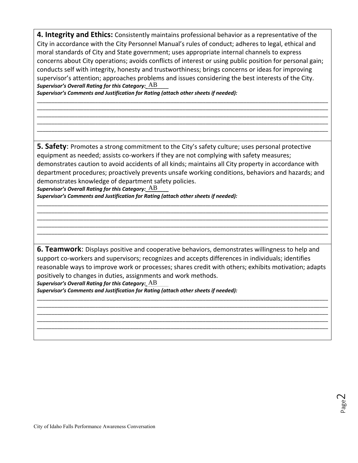**4. Integrity and Ethics:** Consistently maintains professional behavior as a representative of the City in accordance with the City Personnel Manual's rules of conduct; adheres to legal, ethical and moral standards of City and State government; uses appropriate internal channels to express concerns about City operations; avoids conflicts of interest or using public position for personal gain; conducts self with integrity, honesty and trustworthiness; brings concerns or ideas for improving supervisor's attention; approaches problems and issues considering the best interests of the City. Supervisor's Overall Rating for this Category:  $AB$ 

\_\_\_\_\_\_\_\_\_\_\_\_\_\_\_\_\_\_\_\_\_\_\_\_\_\_\_\_\_\_\_\_\_\_\_\_\_\_\_\_\_\_\_\_\_\_\_\_\_\_\_\_\_\_\_\_\_\_\_\_\_\_\_\_\_\_\_\_\_\_\_\_\_\_\_\_\_\_\_\_\_\_\_\_\_\_\_\_\_\_\_\_\_\_\_\_\_\_\_\_ \_\_\_\_\_\_\_\_\_\_\_\_\_\_\_\_\_\_\_\_\_\_\_\_\_\_\_\_\_\_\_\_\_\_\_\_\_\_\_\_\_\_\_\_\_\_\_\_\_\_\_\_\_\_\_\_\_\_\_\_\_\_\_\_\_\_\_\_\_\_\_\_\_\_\_\_\_\_\_\_\_\_\_\_\_\_\_\_\_\_\_\_\_\_\_\_\_\_\_\_ \_\_\_\_\_\_\_\_\_\_\_\_\_\_\_\_\_\_\_\_\_\_\_\_\_\_\_\_\_\_\_\_\_\_\_\_\_\_\_\_\_\_\_\_\_\_\_\_\_\_\_\_\_\_\_\_\_\_\_\_\_\_\_\_\_\_\_\_\_\_\_\_\_\_\_\_\_\_\_\_\_\_\_\_\_\_\_\_\_\_\_\_\_\_\_\_\_\_\_\_ \_\_\_\_\_\_\_\_\_\_\_\_\_\_\_\_\_\_\_\_\_\_\_\_\_\_\_\_\_\_\_\_\_\_\_\_\_\_\_\_\_\_\_\_\_\_\_\_\_\_\_\_\_\_\_\_\_\_\_\_\_\_\_\_\_\_\_\_\_\_\_\_\_\_\_\_\_\_\_\_\_\_\_\_\_\_\_\_\_\_\_\_\_\_\_\_\_\_\_\_ \_\_\_\_\_\_\_\_\_\_\_\_\_\_\_\_\_\_\_\_\_\_\_\_\_\_\_\_\_\_\_\_\_\_\_\_\_\_\_\_\_\_\_\_\_\_\_\_\_\_\_\_\_\_\_\_\_\_\_\_\_\_\_\_\_\_\_\_\_\_\_\_\_\_\_\_\_\_\_\_\_\_\_\_\_\_\_\_\_\_\_\_\_\_\_\_\_\_\_\_

*Supervisor's Comments and Justification for Rating (attach other sheets if needed):* 

**5. Safety**: Promotes a strong commitment to the City's safety culture; uses personal protective equipment as needed; assists co-workers if they are not complying with safety measures; demonstrates caution to avoid accidents of all kinds; maintains all City property in accordance with department procedures; proactively prevents unsafe working conditions, behaviors and hazards; and demonstrates knowledge of department safety policies.  $\begin{array}{r} \begin{array}{r} \text{AB} \\ \text{attn} \end{array} \end{array}$   $\begin{array}{r} \text{mer is 1} \\ \text{attn} \end{array}$   $\begin{array}{r} \text{mer is 1} \\ \text{attn} \end{array}$   $\begin{array}{r} \text{out} \\ \text{out} \end{array}$ 

\_\_\_\_\_\_\_\_\_\_\_\_\_\_\_\_\_\_\_\_\_\_\_\_\_\_\_\_\_\_\_\_\_\_\_\_\_\_\_\_\_\_\_\_\_\_\_\_\_\_\_\_\_\_\_\_\_\_\_\_\_\_\_\_\_\_\_\_\_\_\_\_\_\_\_\_\_\_\_\_\_\_\_\_\_\_\_\_\_\_\_\_\_\_\_\_\_\_\_\_ \_\_\_\_\_\_\_\_\_\_\_\_\_\_\_\_\_\_\_\_\_\_\_\_\_\_\_\_\_\_\_\_\_\_\_\_\_\_\_\_\_\_\_\_\_\_\_\_\_\_\_\_\_\_\_\_\_\_\_\_\_\_\_\_\_\_\_\_\_\_\_\_\_\_\_\_\_\_\_\_\_\_\_\_\_\_\_\_\_\_\_\_\_\_\_\_\_\_\_\_ \_\_\_\_\_\_\_\_\_\_\_\_\_\_\_\_\_\_\_\_\_\_\_\_\_\_\_\_\_\_\_\_\_\_\_\_\_\_\_\_\_\_\_\_\_\_\_\_\_\_\_\_\_\_\_\_\_\_\_\_\_\_\_\_\_\_\_\_\_\_\_\_\_\_\_\_\_\_\_\_\_\_\_\_\_\_\_\_\_\_\_\_\_\_\_\_\_\_\_\_ \_\_\_\_\_\_\_\_\_\_\_\_\_\_\_\_\_\_\_\_\_\_\_\_\_\_\_\_\_\_\_\_\_\_\_\_\_\_\_\_\_\_\_\_\_\_\_\_\_\_\_\_\_\_\_\_\_\_\_\_\_\_\_\_\_\_\_\_\_\_\_\_\_\_\_\_\_\_\_\_\_\_\_\_\_\_\_\_\_\_\_\_\_\_\_\_\_\_\_\_ \_\_\_\_\_\_\_\_\_\_\_\_\_\_\_\_\_\_\_\_\_\_\_\_\_\_\_\_\_\_\_\_\_\_\_\_\_\_\_\_\_\_\_\_\_\_\_\_\_\_\_\_\_\_\_\_\_\_\_\_\_\_\_\_\_\_\_\_\_\_\_\_\_\_\_\_\_\_\_\_\_\_\_\_\_\_\_\_\_\_\_\_\_\_\_\_\_\_\_\_

*Supervisor's Overall Rating for this Category:*  $\overline{\rm AB}$ 

*Supervisor's Comments and Justification for Rating (attach other sheets if needed):* 

**6. Teamwork**: Displays positive and cooperative behaviors, demonstrates willingness to help and support co-workers and supervisors; recognizes and accepts differences in individuals; identifies reasonable ways to improve work or processes; shares credit with others; exhibits motivation; adapts positively to changes in duties, assignments and work methods.

\_\_\_\_\_\_\_\_\_\_\_\_\_\_\_\_\_\_\_\_\_\_\_\_\_\_\_\_\_\_\_\_\_\_\_\_\_\_\_\_\_\_\_\_\_\_\_\_\_\_\_\_\_\_\_\_\_\_\_\_\_\_\_\_\_\_\_\_\_\_\_\_\_\_\_\_\_\_\_\_\_\_\_\_\_\_\_\_\_\_\_\_\_\_\_\_\_\_\_\_ \_\_\_\_\_\_\_\_\_\_\_\_\_\_\_\_\_\_\_\_\_\_\_\_\_\_\_\_\_\_\_\_\_\_\_\_\_\_\_\_\_\_\_\_\_\_\_\_\_\_\_\_\_\_\_\_\_\_\_\_\_\_\_\_\_\_\_\_\_\_\_\_\_\_\_\_\_\_\_\_\_\_\_\_\_\_\_\_\_\_\_\_\_\_\_\_\_\_\_\_ \_\_\_\_\_\_\_\_\_\_\_\_\_\_\_\_\_\_\_\_\_\_\_\_\_\_\_\_\_\_\_\_\_\_\_\_\_\_\_\_\_\_\_\_\_\_\_\_\_\_\_\_\_\_\_\_\_\_\_\_\_\_\_\_\_\_\_\_\_\_\_\_\_\_\_\_\_\_\_\_\_\_\_\_\_\_\_\_\_\_\_\_\_\_\_\_\_\_\_\_ \_\_\_\_\_\_\_\_\_\_\_\_\_\_\_\_\_\_\_\_\_\_\_\_\_\_\_\_\_\_\_\_\_\_\_\_\_\_\_\_\_\_\_\_\_\_\_\_\_\_\_\_\_\_\_\_\_\_\_\_\_\_\_\_\_\_\_\_\_\_\_\_\_\_\_\_\_\_\_\_\_\_\_\_\_\_\_\_\_\_\_\_\_\_\_\_\_\_\_\_ \_\_\_\_\_\_\_\_\_\_\_\_\_\_\_\_\_\_\_\_\_\_\_\_\_\_\_\_\_\_\_\_\_\_\_\_\_\_\_\_\_\_\_\_\_\_\_\_\_\_\_\_\_\_\_\_\_\_\_\_\_\_\_\_\_\_\_\_\_\_\_\_\_\_\_\_\_\_\_\_\_\_\_\_\_\_\_\_\_\_\_\_\_\_\_\_\_\_\_\_

*Supervisor's Overall Rating for this Category:\_* $AB$ 

*Supervisor's Comments and Justification for Rating (attach other sheets if needed):*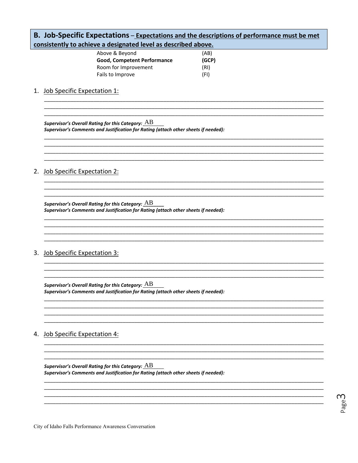| B. Job-Specific Expectations - Expectations and the descriptions of performance must be met<br>consistently to achieve a designated level as described above. |                                                                                                                                                           |  |  |  |
|---------------------------------------------------------------------------------------------------------------------------------------------------------------|-----------------------------------------------------------------------------------------------------------------------------------------------------------|--|--|--|
|                                                                                                                                                               | Above & Beyond<br>(AB)<br>Good, Competent Performance<br>(GCP)<br>Room for Improvement<br>(RI)<br>Fails to Improve<br>(FI)                                |  |  |  |
|                                                                                                                                                               | 1. Job Specific Expectation 1:                                                                                                                            |  |  |  |
|                                                                                                                                                               | Supervisor's Overall Rating for this Category: $\overline{AB}$<br>Supervisor's Comments and Justification for Rating (attach other sheets if needed):     |  |  |  |
| 2.                                                                                                                                                            | <b>Job Specific Expectation 2:</b>                                                                                                                        |  |  |  |
|                                                                                                                                                               | Supervisor's Overall Rating for this Category: $\overline{\rm AB}$<br>Supervisor's Comments and Justification for Rating (attach other sheets if needed): |  |  |  |
| 3.                                                                                                                                                            | <b>Job Specific Expectation 3:</b>                                                                                                                        |  |  |  |
|                                                                                                                                                               | Supervisor's Overall Rating for this Category: $\underline{AB}$<br>Supervisor's Comments and Justification for Rating (attach other sheets if needed):    |  |  |  |
| 4.                                                                                                                                                            | <b>Job Specific Expectation 4:</b>                                                                                                                        |  |  |  |
|                                                                                                                                                               | Supervisor's Overall Rating for this Category: $\overline{\rm AB}$<br>Supervisor's Comments and Justification for Rating (attach other sheets if needed): |  |  |  |
|                                                                                                                                                               |                                                                                                                                                           |  |  |  |

Page<sup>2</sup>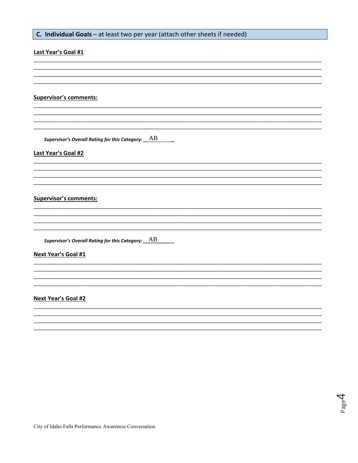## C. Individual Goals - at least two per year (attach other sheets if needed)

## Last Year's Goal #1 **Supervisor's comments:** <u> 1989 - Andrea Santa Andrea Santa Andrea Andrea Santa Andrea Santa Andrea Santa Andrea Santa Andrea Santa Andr</u> Supervisor's Overall Rating for this Category:  $\underline{\quad AB$ Last Year's Goal #2 **Supervisor's comments: Next Year's Goal #1** Next Year's Goal #2